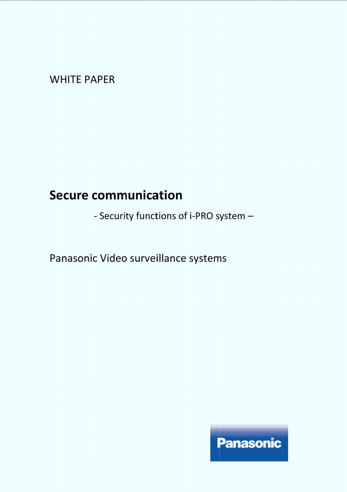WHITE PAPER

# **Secure communication**

- Security functions of i-PRO system -

- Security functions of i-PRO sys<br>Panasonic Video surveillance systems

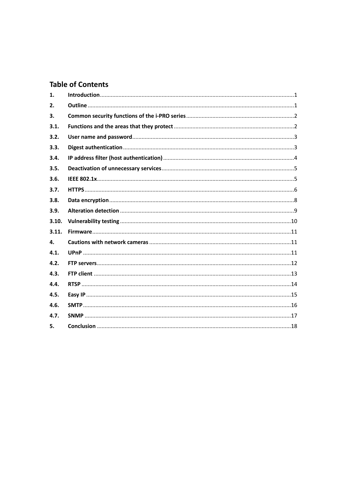# **Table of Contents**

| 1.    |  |
|-------|--|
| 2.    |  |
| 3.    |  |
| 3.1.  |  |
| 3.2.  |  |
| 3.3.  |  |
| 3.4.  |  |
| 3.5.  |  |
| 3.6.  |  |
| 3.7.  |  |
| 3.8.  |  |
| 3.9.  |  |
| 3.10. |  |
| 3.11. |  |
| 4.    |  |
| 4.1.  |  |
| 4.2.  |  |
| 4.3.  |  |
| 4.4.  |  |
| 4.5.  |  |
| 4.6.  |  |
| 4.7.  |  |
| 5.    |  |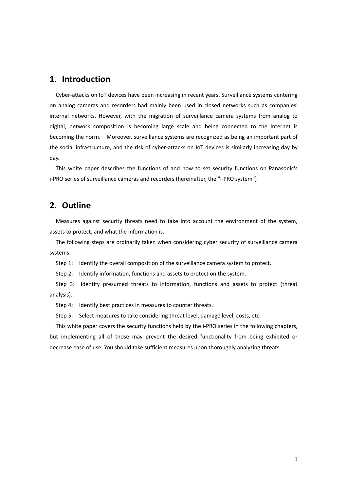## **1. Introduction**

Cyber-attacks on IoT devices have been increasing in recent years. Surveillance systems centering on analog cameras and recorders had mainly been used in closed networks such as companies' internal networks. However, with the migration of surveillance camera systems from analog to digital, network composition is becoming large scale and being connected to the Internet is becoming the norm. Moreover, surveillance systems are recognized as being an important part of the social infrastructure, and the risk of cyber-attacks on IoT devices is similarly increasing day by day.

This white paper describes the functions of and how to set security functions on Panasonic's i-PRO series of surveillance cameras and recorders (hereinafter, the "i-PRO system")

# **2. Outline**

Measures against security threats need to take into account the environment of the system, assets to protect, and what the information is.

The following steps are ordinarily taken when considering cyber security of surveillance camera systems.

Step 1: Identify the overall composition of the surveillance camera system to protect.

Step 2: Identify information, functions and assets to protect on the system.

Step 3: Identify presumed threats to information, functions and assets to protect (threat analysis).

Step 4: Identify best practices in measures to counter threats.

Step 5: Select measures to take considering threat level, damage level, costs, etc.

This white paper covers the security functions held by the i-PRO series in the following chapters, but implementing all of those may prevent the desired functionality from being exhibited or decrease ease of use. You should take sufficient measures upon thoroughly analyzing threats.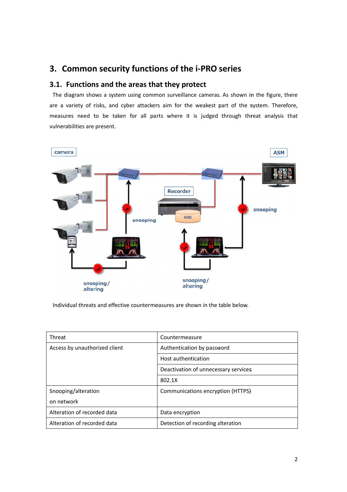# **3. Common security functions of the i i-PRO series PRO series**

# **3.1. Functions and the areas that they protect**

The diagram shows a system using common surveillance cameras. As shown in the figure, there are a variety of risks, and cyber attackers aim for the weakest part of the system. Therefore, measures need to be taken for all parts where it is judged through threat analy sis vulnerabilities are present.



Individual threats and effective countermeasures are shown in the table below.

| Threat                        | Countermeasure                       |
|-------------------------------|--------------------------------------|
| Access by unauthorized client | Authentication by password           |
|                               | Host authentication                  |
|                               | Deactivation of unnecessary services |
|                               | 802.1X                               |
| Snooping/alteration           | Communications encryption (HTTPS)    |
| on network                    |                                      |
| Alteration of recorded data   | Data encryption                      |
| Alteration of recorded data   | Detection of recording alteration    |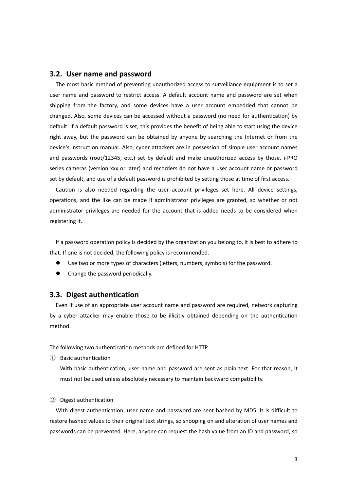#### **3.2. User name and password**

The most basic method of preventing unauthorized access to surveillance equipment is to set a user name and password to restrict access. A default account name and password are set when shipping from the factory, and some devices have a user account embedded that cannot be changed. Also, some devices can be accessed without a password (no need for authentication) by default. If a default password is set, this provides the benefit of being able to start using the device right away, but the password can be obtained by anyone by searching the Internet or from the device's instruction manual. Also, cyber attackers are in possession of simple user account names and passwords (root/12345, etc.) set by default and make unauthorized access by those. i-PRO series cameras (version xxx or later) and recorders do not have a user account name or password set by default, and use of a default password is prohibited by setting those at time of first access.

Caution is also needed regarding the user account privileges set here. All device settings, operations, and the like can be made if administrator privileges are granted, so whether or not administrator privileges are needed for the account that is added needs to be considered when registering it.

If a password operation policy is decided by the organization you belong to, it is best to adhere to that. If one is not decided, the following policy is recommended.

- Use two or more types of characters (letters, numbers, symbols) for the password.
- Change the password periodically.

#### **3.3. Digest authentication**

Even if use of an appropriate user account name and password are required, network capturing by a cyber attacker may enable those to be illicitly obtained depending on the authentication method.

The following two authentication methods are defined for HTTP.

① Basic authentication

With basic authentication, user name and password are sent as plain text. For that reason, it must not be used unless absolutely necessary to maintain backward compatibility.

#### ② Digest authentication

With digest authentication, user name and password are sent hashed by MD5. It is difficult to restore hashed values to their original text strings, so snooping on and alteration of user names and passwords can be prevented. Here, anyone can request the hash value from an ID and password, so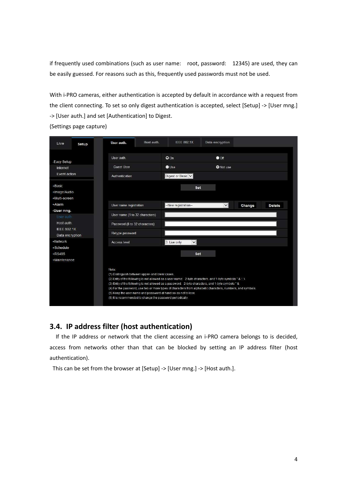if frequently used combinations (such as user name: root, password: 12345) are used, they can be easily guessed. For reasons such as this, frequently used passwords must not be used.

With i-PRO cameras, either authentication is accepted by default in accordance with a request from the client connecting. To set so only digest authentication is accepted, select [Setup] -> [User mng.] -> [User auth.] and set [Authentication] to Digest.

(Settings page capture)

| Live                                                                                                                                                                                                                                                                                                                                                                                                                                                                                                                      | Setup | User auth.                     | Host auth. | <b>IEEE 802.1X</b>     | Data encryption  |        |               |
|---------------------------------------------------------------------------------------------------------------------------------------------------------------------------------------------------------------------------------------------------------------------------------------------------------------------------------------------------------------------------------------------------------------------------------------------------------------------------------------------------------------------------|-------|--------------------------------|------------|------------------------|------------------|--------|---------------|
|                                                                                                                                                                                                                                                                                                                                                                                                                                                                                                                           |       |                                |            |                        |                  |        |               |
| -Easy Setup                                                                                                                                                                                                                                                                                                                                                                                                                                                                                                               |       | User auth.                     |            | $Q$ On                 | $\bullet$ Off    |        |               |
| Internet                                                                                                                                                                                                                                                                                                                                                                                                                                                                                                                  |       | <b>Guest User</b>              |            | $\bigcirc$ Use         | <b>O</b> Not use |        |               |
| Event action                                                                                                                                                                                                                                                                                                                                                                                                                                                                                                              |       | Authentication                 |            | Digest or Basic V      |                  |        |               |
| +Basic<br>+Image/Audio<br>+Multi-screen                                                                                                                                                                                                                                                                                                                                                                                                                                                                                   |       |                                |            | Set                    |                  |        |               |
| +Alarm                                                                                                                                                                                                                                                                                                                                                                                                                                                                                                                    |       | User name registration         |            | -New registration-     | $\checkmark$     | Change | <b>Delete</b> |
| -User mng.<br>User auth                                                                                                                                                                                                                                                                                                                                                                                                                                                                                                   |       | User name (1 to 32 characters) |            |                        |                  |        |               |
| Host auth.                                                                                                                                                                                                                                                                                                                                                                                                                                                                                                                |       | Password (8 to 32 characters)  |            |                        |                  |        |               |
| <b>IEEE 802.1X</b><br>Data encryption                                                                                                                                                                                                                                                                                                                                                                                                                                                                                     |       | Retype password                |            |                        |                  |        |               |
| +Network                                                                                                                                                                                                                                                                                                                                                                                                                                                                                                                  |       | Access level                   |            | 3. Live only<br>$\vee$ |                  |        |               |
| +Schedule                                                                                                                                                                                                                                                                                                                                                                                                                                                                                                                 |       |                                |            |                        |                  |        |               |
| +RS485                                                                                                                                                                                                                                                                                                                                                                                                                                                                                                                    |       |                                |            | <b>Set</b>             |                  |        |               |
| +Maintenance                                                                                                                                                                                                                                                                                                                                                                                                                                                                                                              |       |                                |            |                        |                  |        |               |
| Note:<br>(1) Distinguish between upper- and lower cases.<br>(2) Entry of the following is not allowed as a user name: 2-byte characters, and 1-byte symbols " & :; \<br>(3) Entry of the following is not allowed as a password: 2-byte characters, and 1-byte symbols " &<br>(4) For the password, use two or more types of characters from alphabetic characters, numbers, and symbols.<br>(5) Keep the user name and password at hand so as not to lose.<br>(6) It is recommended to change the password periodically. |       |                                |            |                        |                  |        |               |

## **3.4. IP address filter (host authentication)**

If the IP address or network that the client accessing an i-PRO camera belongs to is decided, access from networks other than that can be blocked by setting an IP address filter (host authentication).

This can be set from the browser at [Setup] -> [User mng.] -> [Host auth.].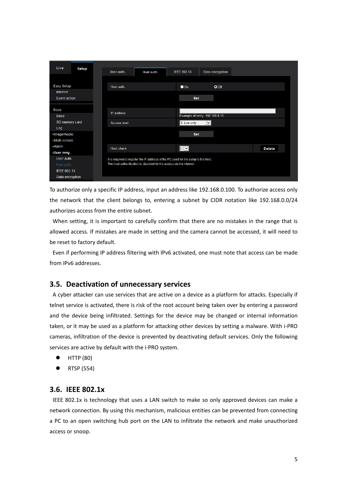| Live                | <b>Setup</b> | User auth.   | Host auth.                                                                          | <b>IEEE 802.1X</b> | Data encryption                |               |
|---------------------|--------------|--------------|-------------------------------------------------------------------------------------|--------------------|--------------------------------|---------------|
|                     |              |              |                                                                                     |                    |                                |               |
| -Easy Setup         |              | Host auth.   |                                                                                     | $\bullet$ On       | $O$ Off                        |               |
| Internet            |              |              |                                                                                     |                    |                                |               |
| Event action        |              |              |                                                                                     | <b>Set</b>         |                                |               |
|                     |              |              |                                                                                     |                    |                                |               |
| -Basic              |              | IP address   |                                                                                     |                    |                                |               |
| <b>Basic</b>        |              |              |                                                                                     |                    | Example of entry: 192.168.0.10 |               |
| SD memory card      |              | Access level |                                                                                     | 3. Live only       | M                              |               |
| Log<br>+Image/Audio |              |              |                                                                                     | <b>Set</b>         |                                |               |
| +Multi-screen       |              |              |                                                                                     |                    |                                |               |
| +Alarm              |              |              |                                                                                     |                    |                                |               |
| -User mng.          |              | Host check   |                                                                                     | $\boxed{N}$        |                                | <b>Delete</b> |
| User auth.          |              |              | It is required to register the IP address of the PC used for the setup to the host. |                    |                                |               |
| Host auth.          |              |              | The host authentication is disabled for the access via the Internet.                |                    |                                |               |
| <b>IEEE 802.1X</b>  |              |              |                                                                                     |                    |                                |               |
| Data encryption     |              |              |                                                                                     |                    |                                |               |
|                     |              |              |                                                                                     |                    |                                |               |

To authorize only a specific IP address, input an address like 192.168.0.100. To authorize access only the network that the client belongs to, entering a subnet by CIDR notation like 192.168.0.0/24 authorizes access from the entire subnet.

When setting, it is important to carefully confirm that there are no mistakes in the range that is allowed access. If mistakes are made in setting and the camera cannot be accessed, it will need to be reset to factory default.

Even if performing IP address filtering with IPv6 activated, one must note that access can be made from IPv6 addresses.

#### **3.5. Deactivation of unnecessary services**

A cyber attacker can use services that are active on a device as a platform for attacks. Especially if telnet service is activated, there is risk of the root account being taken over by entering a password and the device being infiltrated. Settings for the device may be changed or internal information taken, or it may be used as a platform for attacking other devices by setting a malware. With i-PRO cameras, infiltration of the device is prevented by deactivating default services. Only the following services are active by default with the i-PRO system.

- $\bullet$  HTTP (80)
- RTSP (554)

#### **3.6. IEEE 802.1x**

IEEE 802.1x is technology that uses a LAN switch to make so only approved devices can make a network connection. By using this mechanism, malicious entities can be prevented from connecting a PC to an open switching hub port on the LAN to infiltrate the network and make unauthorized access or snoop.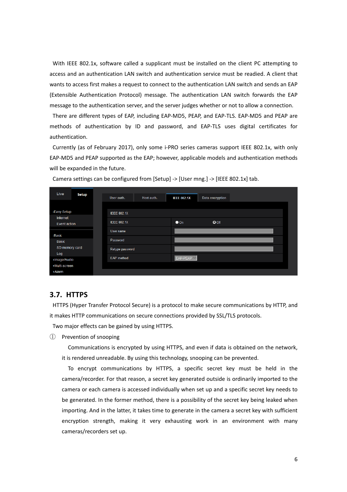With IEEE 802.1x, software called a supplicant must be installed on the client PC attempting to access and an authentication LAN switch and authentication service must be readied. A client that wants to access first makes a request to connect to the authentication LAN switch and sends an EAP (Extensible Authentication Protocol) message. The authentication LAN switch forwards the EAP message to the authentication server, and the server judges whether or not to allow a connection.

There are different types of EAP, including EAP-MD5, PEAP, and EAP-TLS. EAP-MD5 and PEAP are methods of authentication by ID and password, and EAP-TLS uses digital certificates for authentication.

Currently (as of February 2017), only some i-PRO series cameras support IEEE 802.1x, with only EAP-MD5 and PEAP supported as the EAP; however, applicable models and authentication methods will be expanded in the future.

| Live                     | <b>Setup</b> | User auth.         | Host auth. | <b>IEEE 802.1X</b> | Data encryption |  |
|--------------------------|--------------|--------------------|------------|--------------------|-----------------|--|
|                          |              |                    |            |                    |                 |  |
| -Easy Setup              |              | <b>IEEE 802.1X</b> |            |                    |                 |  |
| Internet<br>Event action |              | <b>IEEE 802.1X</b> |            | $\bullet$ On       | $O$ Off         |  |
| -Basic                   |              | User name          |            |                    |                 |  |
| <b>Basic</b>             |              | Password           |            |                    |                 |  |
| SD memory card           |              | Retype password    |            |                    |                 |  |
| Log<br>+Image/Audio      |              | EAP method         |            | EAP-PEAP V         |                 |  |
| +Multi-screen            |              |                    |            |                    |                 |  |
| +Alarm                   |              |                    |            |                    |                 |  |

Camera settings can be configured from [Setup] -> [User mng.] -> [IEEE 802.1x] tab.

#### **3.7. HTTPS**

HTTPS (Hyper Transfer Protocol Secure) is a protocol to make secure communications by HTTP, and it makes HTTP communications on secure connections provided by SSL/TLS protocols.

Two major effects can be gained by using HTTPS.

① Prevention of snooping

Communications is encrypted by using HTTPS, and even if data is obtained on the network, it is rendered unreadable. By using this technology, snooping can be prevented.

To encrypt communications by HTTPS, a specific secret key must be held in the camera/recorder. For that reason, a secret key generated outside is ordinarily imported to the camera or each camera is accessed individually when set up and a specific secret key needs to be generated. In the former method, there is a possibility of the secret key being leaked when importing. And in the latter, it takes time to generate in the camera a secret key with sufficient encryption strength, making it very exhausting work in an environment with many cameras/recorders set up.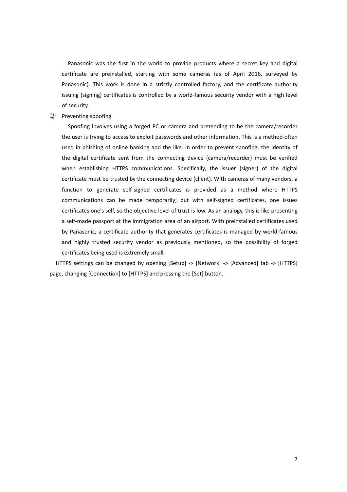Panasonic was the first in the world to provide products where a secret key and digital certificate are preinstalled, starting with some cameras (as of April 2016, surveyed by Panasonic). This work is done in a strictly controlled factory, and the certificate authority issuing (signing) certificates is controlled by a world-famous security vendor with a high level of security.

② Preventing spoofing

Spoofing involves using a forged PC or camera and pretending to be the camera/recorder the user is trying to access to exploit passwords and other information. This is a method often used in phishing of online banking and the like. In order to prevent spoofing, the identity of the digital certificate sent from the connecting device (camera/recorder) must be verified when establishing HTTPS communications. Specifically, the issuer (signer) of the digital certificate must be trusted by the connecting device (client). With cameras of many vendors, a function to generate self-signed certificates is provided as a method where HTTPS communications can be made temporarily; but with self-signed certificates, one issues certificates one's self, so the objective level of trust is low. As an analogy, this is like presenting a self-made passport at the immigration area of an airport. With preinstalled certificates used by Panasonic, a certificate authority that generates certificates is managed by world-famous and highly trusted security vendor as previously mentioned, so the possibility of forged certificates being used is extremely small.

HTTPS settings can be changed by opening [Setup] -> [Network] -> [Advanced] tab -> [HTTPS] page, changing [Connection] to [HTTPS] and pressing the [Set] button.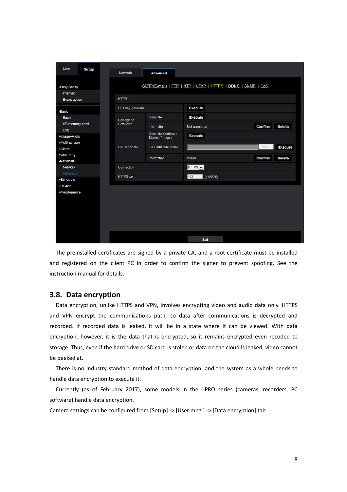| Live<br>Setup            |                  |                                                |                                                             |                |                |
|--------------------------|------------------|------------------------------------------------|-------------------------------------------------------------|----------------|----------------|
|                          | Network          | Advanced                                       |                                                             |                |                |
|                          |                  |                                                |                                                             |                |                |
| -Easy Setup              |                  |                                                | SMTP(E-mail)   FTP   NTP   UPnP   HTTPS   DDNS   SNMP   QoS |                |                |
| Internet<br>Event action | <b>HTTPS</b>     |                                                |                                                             |                |                |
|                          |                  |                                                |                                                             |                |                |
| -Basic                   | CRT key generate |                                                | <b>Execute</b>                                              |                |                |
| Basic                    | Self-signed      | Generate                                       | <b>Execute</b>                                              |                |                |
| SD memory card<br>Log    | Certificate      | Information                                    | Not generated                                               | <b>Confirm</b> | <b>Delete</b>  |
| +Image/Audio             |                  | Generate Certificate<br><b>Signing Request</b> | <b>Execute</b>                                              |                |                |
| +Multi-screen            | CA Certificate   | CA Certificate install                         |                                                             | 参照             | <b>Execute</b> |
| +Alarm                   |                  |                                                |                                                             |                |                |
| +User mng.<br>-Network   |                  | Information                                    | Invalid                                                     | Confirm        | <b>Delete</b>  |
| Network                  | Connection       |                                                | HTTPS V                                                     |                |                |
| Advanced                 |                  |                                                |                                                             |                |                |
| +Schedule                | HTTPS port       |                                                | 443<br>$(1 - 65535)$                                        |                |                |
| +RS485                   |                  |                                                |                                                             |                |                |
| +Maintenance             |                  |                                                |                                                             |                |                |
|                          |                  |                                                |                                                             |                |                |
|                          |                  |                                                |                                                             |                |                |
|                          |                  |                                                |                                                             |                |                |
|                          |                  |                                                |                                                             |                |                |
|                          |                  |                                                |                                                             |                |                |
|                          |                  |                                                | <b>Set</b>                                                  |                |                |

The preinstalled certificates are signed by a private CA, and a root certificate must be installed and registered on the client PC in order to confirm the signer to prevent spoofing. See the instruction manual for details.

#### **3.8. Data encryption**

Data encryption, unlike HTTPS and VPN, involves encrypting video and audio data only. HTTPS and VPN encrypt the communications path, so data after communications is decrypted and recorded. If recorded data is leaked, it will be in a state where it can be viewed. With data encryption, however, it is the data that is encrypted, so it remains encrypted even recoded to storage. Thus, even if the hard drive or SD card is stolen or data on the cloud is leaked, video cannot be peeked at.

There is no industry standard method of data encryption, and the system as a whole needs to handle data encryption to execute it.

Currently (as of February 2017), some models in the i-PRO series (cameras, recorders, PC software) handle data encryption.

Camera settings can be configured from [Setup] -> [User mng.] -> [Data encryption] tab.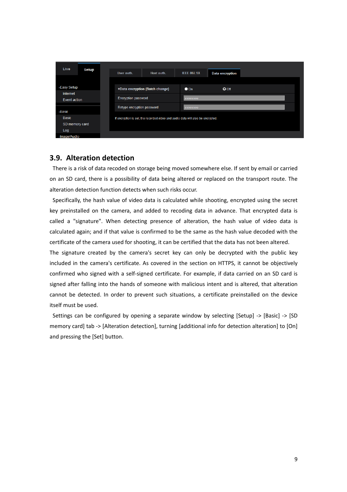

#### **3.9. Alteration detection**

There is a risk of data recoded on storage being moved somewhere else. If sent by email or carried on an SD card, there is a possibility of data being altered or replaced on the transport route. The alteration detection function detects when such risks occur.

Specifically, the hash value of video data is calculated while shooting, encrypted using the secret key preinstalled on the camera, and added to recoding data in advance. That encrypted data is called a "signature". When detecting presence of alteration, the hash value of video data is calculated again; and if that value is confirmed to be the same as the hash value decoded with the certificate of the camera used for shooting, it can be certified that the data has not been altered.

The signature created by the camera's secret key can only be decrypted with the public key included in the camera's certificate. As covered in the section on HTTPS, it cannot be objectively confirmed who signed with a self-signed certificate. For example, if data carried on an SD card is signed after falling into the hands of someone with malicious intent and is altered, that alteration cannot be detected. In order to prevent such situations, a certificate preinstalled on the device itself must be used.

Settings can be configured by opening a separate window by selecting [Setup] -> [Basic] -> [SD memory card] tab -> [Alteration detection], turning [additional info for detection alteration] to [On] and pressing the [Set] button.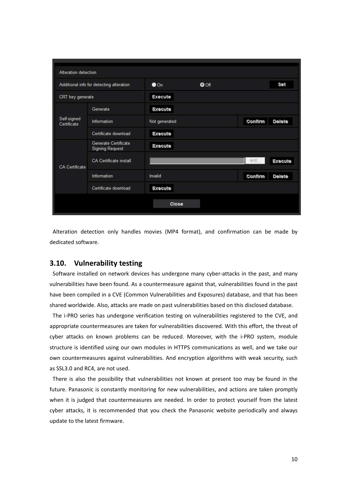|                            | Additional info for detecting alteration       | $\bullet$ On   | $O$ Off |         | Set           |
|----------------------------|------------------------------------------------|----------------|---------|---------|---------------|
| CRT key generate           |                                                | Execute        |         |         |               |
|                            | Generate                                       | Execute        |         |         |               |
| Self-signed<br>Certificate | Information                                    | Not generated  |         | Confirm | Delete        |
|                            | Certificate download                           | <b>Execute</b> |         |         |               |
|                            | Generate Certificate<br><b>Signing Request</b> | Execute        |         |         |               |
| <b>CA Certificate</b>      | <b>CA Certificate install</b>                  |                |         | 参照      | Execute       |
|                            | Information                                    | Invalid        |         | Confirm | <b>Delete</b> |
|                            | Certificate download                           | Execute        |         |         |               |

Alteration detection only handles movies (MP4 format), and confirmation can be made by dedicated software.

#### **3.10. Vulnerability testing**

Software installed on network devices has undergone many cyber-attacks in the past, and many vulnerabilities have been found. As a countermeasure against that, vulnerabilities found in the past have been compiled in a CVE (Common Vulnerabilities and Exposures) database, and that has been shared worldwide. Also, attacks are made on past vulnerabilities based on this disclosed database.

The i-PRO series has undergone verification testing on vulnerabilities registered to the CVE, and appropriate countermeasures are taken for vulnerabilities discovered. With this effort, the threat of cyber attacks on known problems can be reduced. Moreover, with the i-PRO system, module structure is identified using our own modules in HTTPS communications as well, and we take our own countermeasures against vulnerabilities. And encryption algorithms with weak security, such as SSL3.0 and RC4, are not used.

There is also the possibility that vulnerabilities not known at present too may be found in the future. Panasonic is constantly monitoring for new vulnerabilities, and actions are taken promptly when it is judged that countermeasures are needed. In order to protect yourself from the latest cyber attacks, it is recommended that you check the Panasonic website periodically and always update to the latest firmware.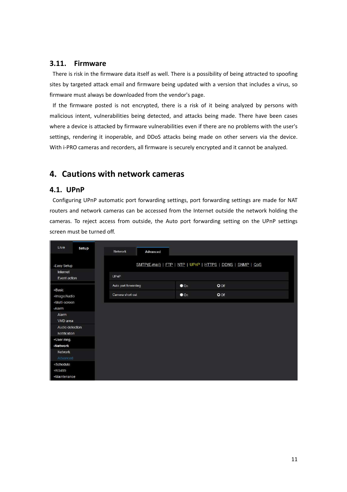#### **3.11. Firmware**

There is risk in the firmware data itself as well. There is a possibility of being attracted to spoofing sites by targeted attack email and firmware being updated with a version that includes a virus, so firmware must always be downloaded from the vendor's page.

If the firmware posted is not encrypted, there is a risk of it being analyzed by persons with malicious intent, vulnerabilities being detected, and attacks being made. There have been cases where a device is attacked by firmware vulnerabilities even if there are no problems with the user's settings, rendering it inoperable, and DDoS attacks being made on other servers via the device. With i-PRO cameras and recorders, all firmware is securely encrypted and it cannot be analyzed.

# **4. Cautions with network cameras**

#### **4.1. UPnP**

Configuring UPnP automatic port forwarding settings, port forwarding settings are made for NAT routers and network cameras can be accessed from the Internet outside the network holding the cameras. To reject access from outside, the Auto port forwarding setting on the UPnP settings screen must be turned off.

| Live                            | Setup | <b>Network</b>       | Advanced |              |                                                             |  |
|---------------------------------|-------|----------------------|----------|--------------|-------------------------------------------------------------|--|
| -Easy Setup                     |       |                      |          |              | SMTP(E-mail)   FTP   NTP   UPnP   HTTPS   DDNS   SNMP   QoS |  |
| Internet<br>Event action        |       | UPnP                 |          |              |                                                             |  |
| +Basic                          |       | Auto port forwarding |          | $\bullet$ On | $Q$ Off                                                     |  |
| +Image/Audio                    |       | Camera short cut     |          | $\bullet$ On | $O$ Off                                                     |  |
| +Multi-screen<br>-Alarm         |       |                      |          |              |                                                             |  |
| Alarm                           |       |                      |          |              |                                                             |  |
| VMD area                        |       |                      |          |              |                                                             |  |
| Audio detection<br>Notification |       |                      |          |              |                                                             |  |
| +User mng.                      |       |                      |          |              |                                                             |  |
| -Network                        |       |                      |          |              |                                                             |  |
| Network                         |       |                      |          |              |                                                             |  |
| Advanced                        |       |                      |          |              |                                                             |  |
| +Schedule                       |       |                      |          |              |                                                             |  |
| +RS485                          |       |                      |          |              |                                                             |  |
| +Maintenance                    |       |                      |          |              |                                                             |  |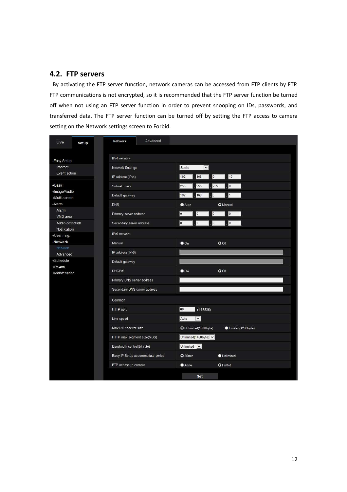# **4.2. FTP servers**

 By activating the FTP server function, network cameras can be accessed from FTP clients by FTP. FTP communications is not encrypted, so it is recommended that the FTP server function be turned off when not using an FTP server function in order to prevent snooping on IDs, passwords, and transferred data. The FTP server function can be turned off by setting the FTP access to camera setting on the Network settings screen to Forbid.

| Live<br>Setup                   | <b>Network</b><br>Advanced       |                                                           |  |
|---------------------------------|----------------------------------|-----------------------------------------------------------|--|
|                                 |                                  |                                                           |  |
| -Easy Setup                     | IPv4 network                     |                                                           |  |
| Internet                        | <b>Network Settings</b>          | Static<br>$\overline{\mathbf{v}}$                         |  |
| Event action                    | IP address(IPv4)                 | 10<br>192<br>$\overline{0}$<br>168                        |  |
| +Basic                          | Subnet mask                      | 255<br>255<br>255<br>0                                    |  |
| +Image/Audio<br>+Multi-screen   | Default gateway                  | 192<br>168<br>lo<br>l1                                    |  |
| -Alarm                          | <b>DNS</b>                       | Auto<br><b>O</b> Manual                                   |  |
| Alarm<br>VMD area               | Primary server address           | $\overline{0}$<br>$\overline{0}$<br>$\overline{0}$<br>lo. |  |
| Audio detection<br>Notification | Secondary server address         | $\overline{0}$<br>lo.<br>lo.<br>lo.                       |  |
| +User mng.                      | IPv6 network                     |                                                           |  |
| -Network                        | Manual                           | $\bullet$ On<br>O Off                                     |  |
| Network<br>Advanced             | IP address(IPv6)                 |                                                           |  |
| +Schedule                       | Default gateway                  |                                                           |  |
| +RS485<br>+Maintenance          | DHCPv6                           | $\bullet$ On<br>O Off                                     |  |
|                                 | Primary DNS server address       |                                                           |  |
|                                 | Secondary DNS server address     |                                                           |  |
|                                 | Common                           |                                                           |  |
|                                 | HTTP port                        | 80<br>$(1 - 65535)$                                       |  |
|                                 | Line speed                       | $\vert \mathbf{v} \vert$<br>Auto                          |  |
|                                 | Max RTP packet size              | O Unlimited(1500byte)<br>Limited(1280byte)                |  |
|                                 | HTTP max segment size(MSS)       | Unlimited(1460byte) V                                     |  |
|                                 | Bandwidth control(bit rate)      | Unlimited V                                               |  |
|                                 | Easy IP Setup accommodate period | Q20min<br>Unlimited                                       |  |
|                                 | FTP access to camera             | O Forbid<br>Allow                                         |  |
|                                 |                                  | Set                                                       |  |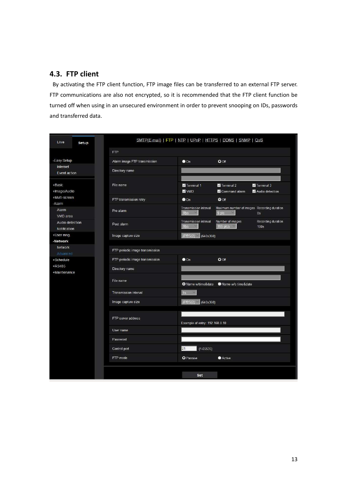# **4.3. FTP client**

By activating the FTP client function, FTP image files can be transferred to an external FTP server. FTP communications are also not encrypted, so it is recommended that the FTP client function be turned off when using in an unsecured environment in order to prevent snooping on IDs, passwords and transferred data.

| Live<br>Setup                   | SMTP(E-mail)   FTP   NTP   UPnP   HTTPS   DDNS   SNMP   QoS |                                      |                                                      |                               |  |  |
|---------------------------------|-------------------------------------------------------------|--------------------------------------|------------------------------------------------------|-------------------------------|--|--|
|                                 | <b>FTP</b>                                                  |                                      |                                                      |                               |  |  |
| -Easy Setup                     | Alarm image FTP transmission                                | $\bullet$ On                         | $O$ Off                                              |                               |  |  |
| Internet<br>Event action        | Directory name                                              |                                      |                                                      |                               |  |  |
| +Basic<br>+Image/Audio          | File name                                                   | Terminal 1<br><b>M</b> VMD           | Terminal 2<br>Command alarm                          | Terminal 3<br>Audio detection |  |  |
| +Multi-screen                   | FTP transmission retry                                      | $\bullet$ On                         | $Q$ Off                                              |                               |  |  |
| -Alarm<br>Alarm<br>VMD area     | Pre alarm                                                   | Transmission interval<br><b>Ifps</b> | Maximum number of images Recording duration<br>0 pic | 0s                            |  |  |
| Audio detection<br>Notification | Post alarm                                                  | <b>Transmission interval</b><br>1fps | Number of images<br>100 pics                         | Recording duration<br>100s    |  |  |
| +User mng.                      | Image capture size                                          | (640x360)<br>JPEG(2)                 |                                                      |                               |  |  |
| -Network<br><b>Network</b>      |                                                             |                                      |                                                      |                               |  |  |
| Advanced                        | FTP periodic image transmission                             |                                      |                                                      |                               |  |  |
| +Schedule                       | FTP periodic image transmission                             | $\bullet$ On                         | $O$ Off                                              |                               |  |  |
| +RS485                          | Directory name                                              |                                      |                                                      |                               |  |  |
| +Maintenance                    | File name                                                   | O Name w/time&date                   | Name w/o time&date                                   |                               |  |  |
|                                 | <b>Transmission interval</b>                                | $15 - 9$                             |                                                      |                               |  |  |
|                                 | Image capture size                                          | JPEG(2) (640x360)                    |                                                      |                               |  |  |
|                                 | FTP server address                                          | Example of entry: 192.168.0.10       |                                                      |                               |  |  |
|                                 | User name                                                   |                                      |                                                      |                               |  |  |
|                                 | Password                                                    |                                      |                                                      |                               |  |  |
|                                 | Control port                                                | 21<br>$(1 - 65535)$                  |                                                      |                               |  |  |
|                                 | FTP mode                                                    | <b>O</b> Passive                     | Active                                               |                               |  |  |
|                                 |                                                             | Set                                  |                                                      |                               |  |  |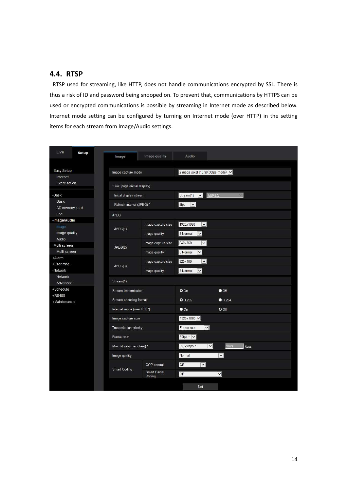# **4.4. RTSP**

RTSP used for streaming, like HTTP, does not handle communications encrypted by SSL. There is thus a risk of ID and password being snooped on. To prevent that, communications by HTTPS can be used or encrypted communications is possible by streaming in Internet mode as described below. Internet mode setting can be configured by turning on Internet mode (over HTTP) in the setting items for each stream from Image/Audio settings.

| Live<br>Setup           | Image                         | Image quality          | Audio                                           |                          |  |
|-------------------------|-------------------------------|------------------------|-------------------------------------------------|--------------------------|--|
|                         |                               |                        |                                                 |                          |  |
| -Easy Setup             | Image capture mode            |                        | 2 mega pixel [16:9] (30fps mode) v              |                          |  |
| Internet                |                               |                        |                                                 |                          |  |
| Event action            | "Live" page (Initial display) |                        |                                                 |                          |  |
| -Basic                  | Initial display stream        |                        | Stream(1)<br>$\vert \vee \vert$<br><b>MJPEG</b> |                          |  |
| Basic<br>SD memory card | Refresh interval (JPEG) *     |                        | 5fps<br>$\checkmark$                            |                          |  |
| Log                     | <b>JPEG</b>                   |                        |                                                 |                          |  |
| -Image/Audio<br>Image   |                               | Image capture size     | 1920x1080<br>$\vert$ $\vert$                    |                          |  |
| Image quality           | JPEG(1)                       | Image quality          | 5 Normal<br>$\vee$                              |                          |  |
| Audio<br>-Multi-screen  |                               | Image capture size     | $\vee$<br>640x360                               |                          |  |
| Multi-screen            | JPEG(2)                       | Image quality          | 5 Normal<br>$\check{ }$                         |                          |  |
| +Alarm                  |                               | Image capture size     | 320x180<br>$\overline{\mathsf{v}}$              |                          |  |
| +User mng.<br>-Network  | JPEG(3)                       | Image quality          | 5 Normal<br>$\checkmark$                        |                          |  |
| <b>Network</b>          | Stream(1)                     |                        |                                                 |                          |  |
| Advanced                |                               |                        |                                                 |                          |  |
| +Schedule<br>+RS485     | <b>Stream transmission</b>    |                        | $Q$ On                                          | $\bullet$ Off            |  |
| +Maintenance            | Stream encoding format        |                        | O H.265                                         | H.264                    |  |
|                         | Internet mode (over HTTP)     |                        | $\bullet$ On                                    | $Q$ Off                  |  |
|                         | Image capture size            |                        | 1920x1080 V                                     |                          |  |
|                         | <b>Transmission priority</b>  |                        | $\overline{\mathbf{v}}$<br>Frame rate           |                          |  |
|                         | Frame rate*                   |                        | 30fps * $\vert \bm{\vee} \vert$                 |                          |  |
|                         | Max bit rate (per client) *   |                        | $\vert \mathbf{v} \vert$<br>3072kbps *          | 3072<br>kbps             |  |
|                         | Image quality                 |                        | Normal                                          | $\vert \mathbf{v} \vert$ |  |
|                         |                               | <b>GOP</b> control     | Off<br>$\vert \mathbf{v} \vert$                 |                          |  |
|                         | Smart Coding                  | Smart Facial<br>Coding | <b>Off</b>                                      | $\check{ }$              |  |
|                         |                               |                        | Set                                             |                          |  |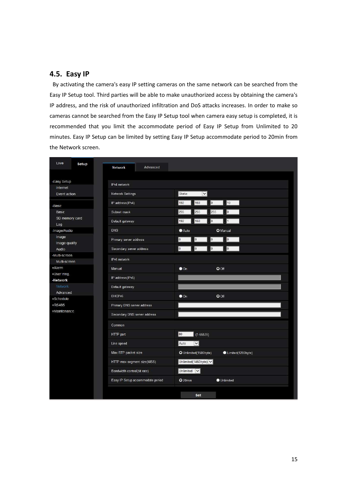### **4.5. Easy IP**

By activating the camera's easy IP setting cameras on the same network can be searched from the Easy IP Setup tool. Third parties will be able to make unauthorized access by obtaining the camera's IP address, and the risk of unauthorized infiltration and DoS attacks increases. In order to make so cameras cannot be searched from the Easy IP Setup tool when camera easy setup is completed, it is recommended that you limit the accommodate period of Easy IP Setup from Unlimited to 20 minutes. Easy IP Setup can be limited by setting Easy IP Setup accommodate period to 20min from the Network screen.

| Live                          | Setup | Advanced<br><b>Network</b>       |                       |                                                          |                   |
|-------------------------------|-------|----------------------------------|-----------------------|----------------------------------------------------------|-------------------|
|                               |       |                                  |                       |                                                          |                   |
| -Easy Setup                   |       | IPv4 network                     |                       |                                                          |                   |
| Internet                      |       |                                  |                       |                                                          |                   |
| Event action                  |       | Network Settings                 | Static                | $\vert \mathbf{v} \vert$                                 |                   |
| -Basic                        |       | IP address(IPv4)                 | 192                   | 10<br>168<br>Iо                                          |                   |
| Basic                         |       | Subnet mask                      | 255                   | o<br>255<br>255                                          |                   |
| SD memory card<br>Log         |       | Default gateway                  | 192                   | 0 <br>168<br>$\vert$ 1                                   |                   |
| -Image/Audio                  |       | <b>DNS</b>                       | Auto                  | <b>O</b> Manual                                          |                   |
| Image<br>Image quality        |       | Primary server address           | o                     | $\vert$ 0<br>0<br>0                                      |                   |
| Audio                         |       | Secondary server address         | $\overline{0}$        | $\sqrt{a}$<br>$\overline{\mathbf{0}}$<br>$\vert 0 \vert$ |                   |
| -Multi-screen<br>Multi-screen |       | IPv6 network                     |                       |                                                          |                   |
| +Alarm                        |       | Manual                           | $\bullet$ On          | $O$ Off                                                  |                   |
| +User mng.                    |       | IP address(IPv6)                 |                       |                                                          |                   |
| -Network                      |       |                                  |                       |                                                          |                   |
| Network                       |       | Default gateway                  |                       |                                                          |                   |
| Advanced<br>+Schedule         |       | DHCP <sub>v6</sub>               | $\bullet$ On          | $Q$ Off                                                  |                   |
| +RS485                        |       | Primary DNS server address       |                       |                                                          |                   |
| +Maintenance                  |       | Secondary DNS server address     |                       |                                                          |                   |
|                               |       | Common                           |                       |                                                          |                   |
|                               |       | HTTP port                        | 80                    | $(1 - 65535)$                                            |                   |
|                               |       | Line speed                       | Auto                  | $\overline{\mathbf{y}}$                                  |                   |
|                               |       | Max RTP packet size              | O Unlimited(1500byte) |                                                          | Limited(1280byte) |
|                               |       | HTTP max segment size(MSS)       |                       | Unlimited(1460byte) V                                    |                   |
|                               |       | Bandwidth control(bit rate)      | Unlimited             | $\vert \mathbf{v} \vert$                                 |                   |
|                               |       | Easy IP Setup accommodate period | Q20min                | <b>Unlimited</b>                                         |                   |
|                               |       |                                  |                       | Set                                                      |                   |
|                               |       |                                  |                       |                                                          |                   |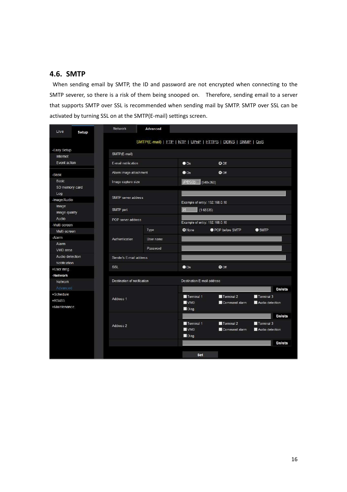# **4.6. SMTP**

When sending email by SMTP, the ID and password are not encrypted when connecting to the SMTP severer, so there is a risk of them being snooped on. Therefore, sending email to a server that supports SMTP over SSL is recommended when sending mail by SMTP. SMTP over SSL can be activated by turning SSL on at the SMTP(E-mail) settings screen.

| Live<br>Setup       | Network                                                               | <b>Advanced</b>                                             |               |                                |                 |  |  |  |
|---------------------|-----------------------------------------------------------------------|-------------------------------------------------------------|---------------|--------------------------------|-----------------|--|--|--|
|                     |                                                                       | SMTP(E-mail)   FTP   NTP   UPnP   HTTPS   DDNS   SNMP   QoS |               |                                |                 |  |  |  |
| -Easy Setup         | SMTP(E-mail)                                                          |                                                             |               |                                |                 |  |  |  |
| Internet            |                                                                       |                                                             |               |                                |                 |  |  |  |
| Event action        | E-mail notification                                                   |                                                             |               | $Q$ Off                        |                 |  |  |  |
| -Basic              |                                                                       | Alarm image attachment                                      |               | $O$ Off                        |                 |  |  |  |
| Basic               | Image capture size                                                    |                                                             |               | JPEG(2)<br>(640x360)           |                 |  |  |  |
| SD memory card      |                                                                       |                                                             |               |                                |                 |  |  |  |
| Log                 |                                                                       | SMTP server address                                         |               |                                |                 |  |  |  |
| -Image/Audio        |                                                                       |                                                             |               | Example of entry: 192.168.0.10 |                 |  |  |  |
| Image               | SMTP port                                                             |                                                             |               | 25                             |                 |  |  |  |
| Image quality       |                                                                       |                                                             |               | $(1 - 65535)$                  |                 |  |  |  |
| Audio               | POP server address                                                    |                                                             |               | Example of entry: 192.168.0.10 |                 |  |  |  |
| -Multi-screen       |                                                                       |                                                             |               |                                |                 |  |  |  |
| Multi-screen        |                                                                       | Type                                                        | <b>O</b> None | POP before SMTP                | $\bullet$ SMTP  |  |  |  |
| -Alarm              | Authentication                                                        | User name                                                   |               |                                |                 |  |  |  |
| Alarm               |                                                                       | Password                                                    |               |                                |                 |  |  |  |
| VMD area            |                                                                       |                                                             |               |                                |                 |  |  |  |
| Audio detection     |                                                                       | Sender's E-mail address                                     |               |                                |                 |  |  |  |
| Notification        | SSL                                                                   |                                                             |               | $\bullet$ Off                  |                 |  |  |  |
| +User mng.          |                                                                       |                                                             |               |                                |                 |  |  |  |
|                     | -Network<br>Destination of notification<br>Destination E-mail address |                                                             |               |                                |                 |  |  |  |
| <b>Network</b>      |                                                                       |                                                             |               |                                |                 |  |  |  |
| Advanced            |                                                                       |                                                             |               |                                | <b>Delete</b>   |  |  |  |
| +Schedule<br>+RS485 | Address <sub>1</sub>                                                  |                                                             |               | Terminal 2                     | Terminal 3      |  |  |  |
| +Maintenance        |                                                                       |                                                             |               | Command alarm                  | Audio detection |  |  |  |
|                     |                                                                       |                                                             |               |                                |                 |  |  |  |
|                     |                                                                       |                                                             |               |                                | Delete          |  |  |  |
| Address 2           |                                                                       | Terminal 1                                                  | Terminal 2    | Terminal 3                     |                 |  |  |  |
|                     |                                                                       | <b>WVMD</b>                                                 | Command alarm | Audio detection                |                 |  |  |  |
|                     |                                                                       |                                                             |               |                                |                 |  |  |  |
|                     |                                                                       |                                                             |               |                                | <b>Delete</b>   |  |  |  |
|                     |                                                                       |                                                             |               |                                |                 |  |  |  |
|                     |                                                                       |                                                             | Set           |                                |                 |  |  |  |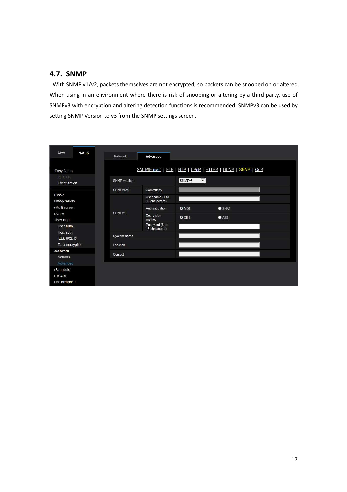# **4.7. SNMP**

With SNMP v1/v2, packets themselves are not encrypted, so packets can be snooped on or altered. When using in an environment where there is risk of snooping or altering by a third party, use of SNMPv3 with encryption and altering detection functions is recommended. SNMPv3 can be used by setting SNMP Version to v3 from the SNMP settings screen.

| Live<br>Setup                    | Network            | Advanced                          |      |                                                             |  |  |
|----------------------------------|--------------------|-----------------------------------|------|-------------------------------------------------------------|--|--|
| -Easy Setup                      |                    |                                   |      | SMTP(E-mail)   FTP   NTP   UPnP   HTTPS   DDNS   SNMP   QoS |  |  |
| Internet<br>Event action         | SNMP version       |                                   |      | $\blacktriangledown$<br>SNMP <sub>v3</sub>                  |  |  |
| +Basic<br>+Image/Audio           | SNMPv1/v2          | Community                         |      |                                                             |  |  |
|                                  |                    | User name (1 to<br>32 characters) |      |                                                             |  |  |
| +Multi-screen                    | SNMP <sub>v3</sub> | Authentication                    | OMD5 | $\bullet$ SHA1                                              |  |  |
| +Alarm<br>-User mng.             |                    | Encryption<br>method              | ODES | AES                                                         |  |  |
| User auth.                       |                    | Password (8 to<br>16 characters)  |      |                                                             |  |  |
| Host auth.<br><b>IEEE 802.1X</b> | System name        |                                   |      |                                                             |  |  |
| Data encryption                  | Location           |                                   |      |                                                             |  |  |
| -Network                         | Contact            |                                   |      |                                                             |  |  |
| Network                          |                    |                                   |      |                                                             |  |  |
| Advanced                         |                    |                                   |      |                                                             |  |  |
| +Schedule<br>+RS485              |                    |                                   |      |                                                             |  |  |
| +Maintenance                     |                    |                                   |      |                                                             |  |  |